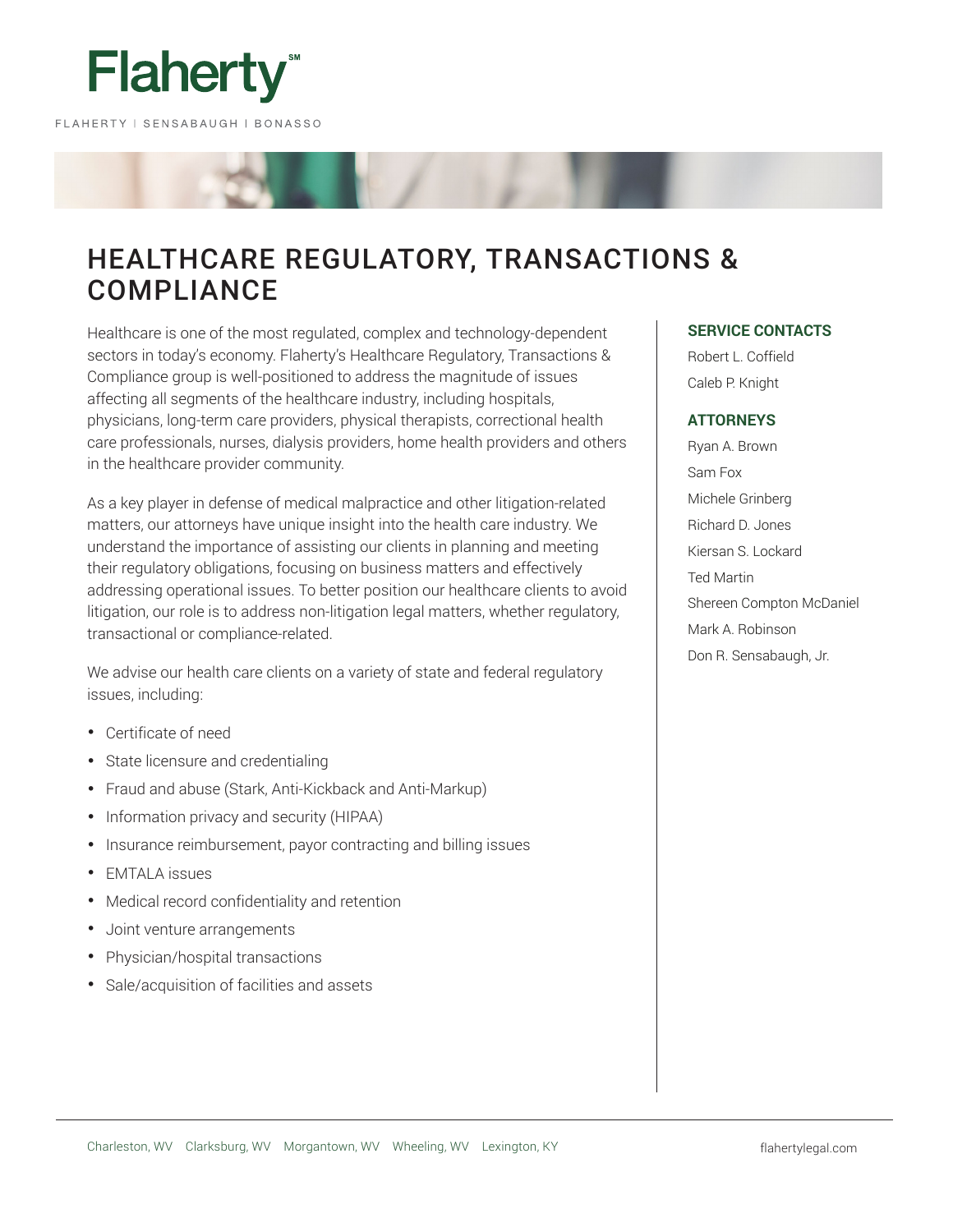

# HEALTHCARE REGULATORY, TRANSACTIONS & **COMPLIANCE**

Healthcare is one of the most regulated, complex and technology-dependent sectors in today's economy. Flaherty's Healthcare Regulatory, Transactions & Compliance group is well-positioned to address the magnitude of issues affecting all segments of the healthcare industry, including hospitals, physicians, long-term care providers, physical therapists, correctional health care professionals, nurses, dialysis providers, home health providers and others in the healthcare provider community.

As a key player in defense of medical malpractice and other litigation-related matters, our attorneys have unique insight into the health care industry. We understand the importance of assisting our clients in planning and meeting their regulatory obligations, focusing on business matters and effectively addressing operational issues. To better position our healthcare clients to avoid litigation, our role is to address non-litigation legal matters, whether regulatory, transactional or compliance-related.

We advise our health care clients on a variety of state and federal regulatory issues, including:

- Certificate of need
- State licensure and credentialing
- Fraud and abuse (Stark, Anti-Kickback and Anti-Markup)
- Information privacy and security (HIPAA)
- Insurance reimbursement, payor contracting and billing issues
- EMTALA issues
- Medical record confidentiality and retention
- Joint venture arrangements
- Physician/hospital transactions
- Sale/acquisition of facilities and assets

# **SERVICE CONTACTS**

Robert L. Coffield Caleb P. Knight

# **ATTORNEYS**

Ryan A. Brown Sam Fox Michele Grinberg Richard D. Jones Kiersan S. Lockard Ted Martin Shereen Compton McDaniel Mark A. Robinson Don R. Sensabaugh, Jr.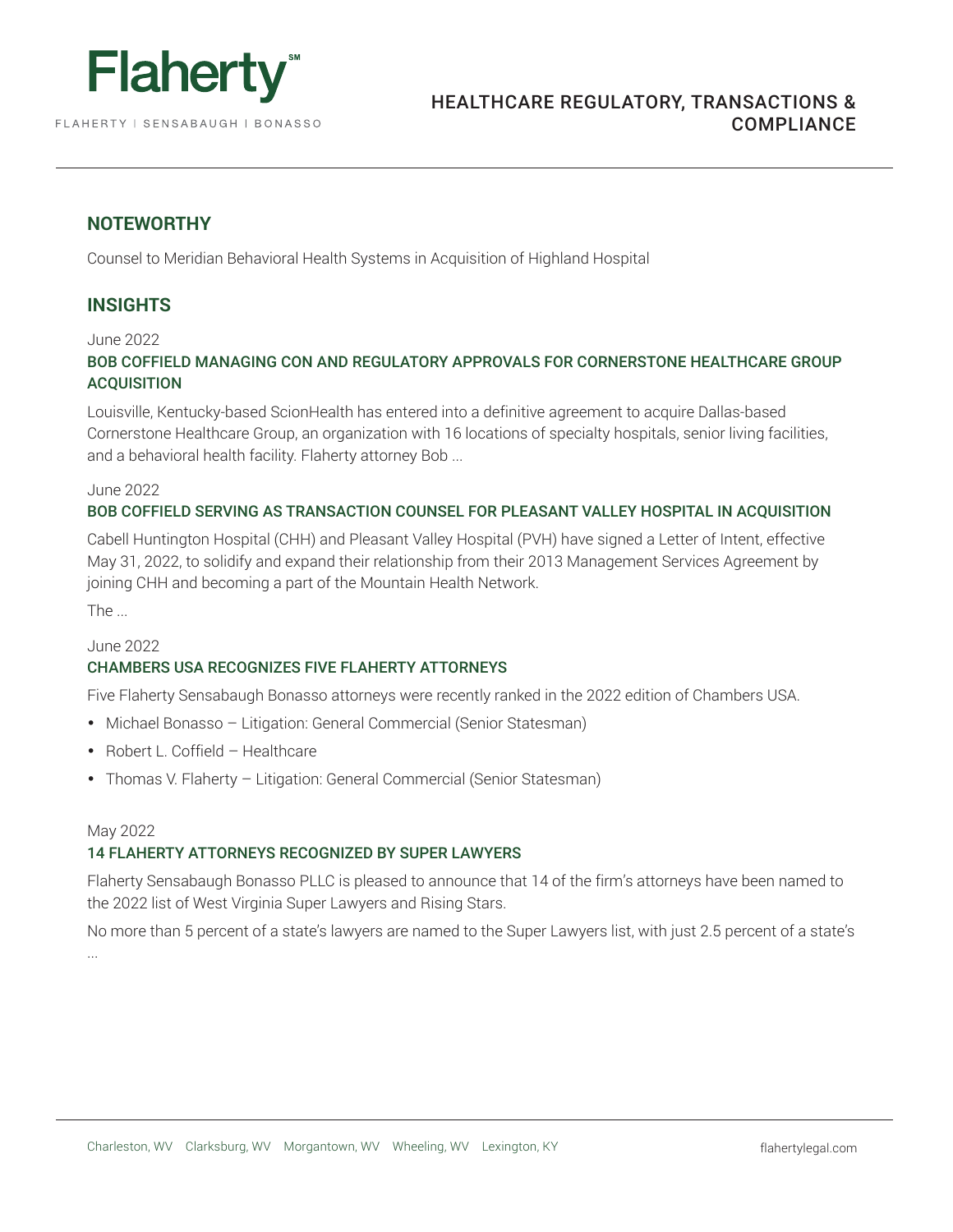

# **NOTEWORTHY**

Counsel to Meridian Behavioral Health Systems in Acquisition of Highland Hospital

# **INSIGHTS**

June 2022

# BOB COFFIELD MANAGING CON AND REGULATORY APPROVALS FOR CORNERSTONE HEALTHCARE GROUP **ACQUISITION**

Louisville, Kentucky-based ScionHealth has entered into a definitive agreement to acquire Dallas-based Cornerstone Healthcare Group, an organization with 16 locations of specialty hospitals, senior living facilities, and a behavioral health facility. Flaherty attorney Bob ...

#### June 2022

# BOB COFFIELD SERVING AS TRANSACTION COUNSEL FOR PLEASANT VALLEY HOSPITAL IN ACQUISITION

Cabell Huntington Hospital (CHH) and Pleasant Valley Hospital (PVH) have signed a Letter of Intent, effective May 31, 2022, to solidify and expand their relationship from their 2013 Management Services Agreement by joining CHH and becoming a part of the Mountain Health Network.

The ...

## June 2022

# CHAMBERS USA RECOGNIZES FIVE FLAHERTY ATTORNEYS

Five Flaherty Sensabaugh Bonasso attorneys were recently ranked in the 2022 edition of Chambers USA.

- Michael Bonasso Litigation: General Commercial (Senior Statesman)
- Robert L. Coffield Healthcare
- Thomas V. Flaherty Litigation: General Commercial (Senior Statesman)

## May 2022

# 14 FLAHERTY ATTORNEYS RECOGNIZED BY SUPER LAWYERS

Flaherty Sensabaugh Bonasso PLLC is pleased to announce that 14 of the firm's attorneys have been named to the 2022 list of West Virginia Super Lawyers and Rising Stars.

No more than 5 percent of a state's lawyers are named to the Super Lawyers list, with just 2.5 percent of a state's ...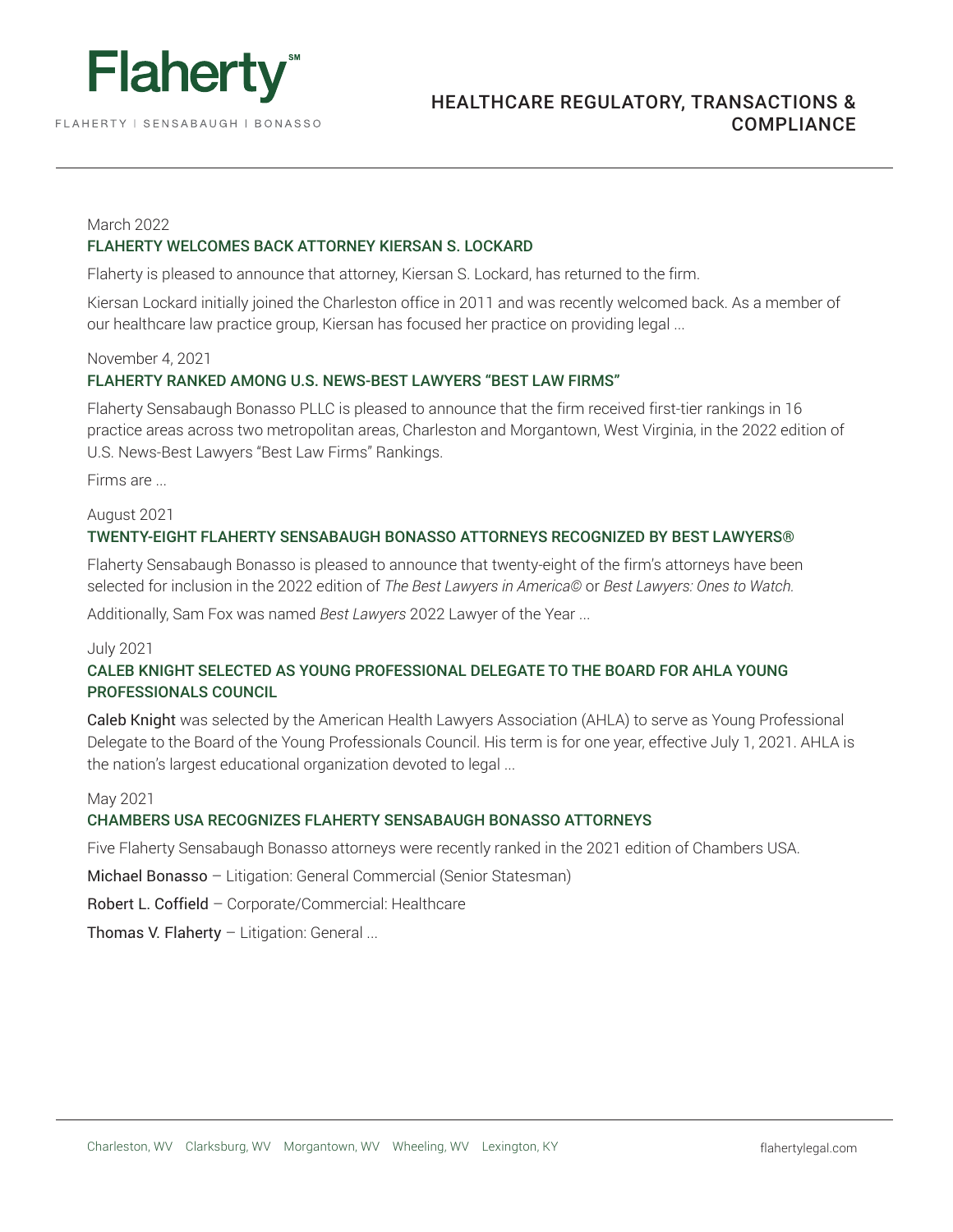

FLAHERTY | SENSABAUGH | BONASSO

# HEALTHCARE REGULATORY, TRANSACTIONS & COMPLIANCE

#### March 2022

# FLAHERTY WELCOMES BACK ATTORNEY KIERSAN S. LOCKARD

Flaherty is pleased to announce that attorney, Kiersan S. Lockard, has returned to the firm.

Kiersan Lockard initially joined the Charleston office in 2011 and was recently welcomed back. As a member of our healthcare law practice group, Kiersan has focused her practice on providing legal ...

# November 4, 2021

# FLAHERTY RANKED AMONG U.S. NEWS-BEST LAWYERS "BEST LAW FIRMS"

Flaherty Sensabaugh Bonasso PLLC is pleased to announce that the firm received first-tier rankings in 16 practice areas across two metropolitan areas, Charleston and Morgantown, West Virginia, in the 2022 edition of U.S. News-Best Lawyers "Best Law Firms" Rankings.

Firms are ...

#### August 2021

## TWENTY-EIGHT FLAHERTY SENSABAUGH BONASSO ATTORNEYS RECOGNIZED BY BEST LAWYERS®

Flaherty Sensabaugh Bonasso is pleased to announce that twenty-eight of the firm's attorneys have been selected for inclusion in the 2022 edition of *The Best Lawyers in America©* or *Best Lawyers: Ones to Watch.*

Additionally, Sam Fox was named *Best Lawyers* 2022 Lawyer of the Year ...

#### July 2021

# CALEB KNIGHT SELECTED AS YOUNG PROFESSIONAL DELEGATE TO THE BOARD FOR AHLA YOUNG PROFESSIONALS COUNCIL

Caleb Knight was selected by the American Health Lawyers Association (AHLA) to serve as Young Professional Delegate to the Board of the Young Professionals Council. His term is for one year, effective July 1, 2021. AHLA is the nation's largest educational organization devoted to legal ...

#### May 2021

## CHAMBERS USA RECOGNIZES FLAHERTY SENSABAUGH BONASSO ATTORNEYS

Five Flaherty Sensabaugh Bonasso attorneys were recently ranked in the 2021 edition of Chambers USA.

Michael Bonasso – Litigation: General Commercial (Senior Statesman)

Robert L. Coffield – Corporate/Commercial: Healthcare

Thomas V. Flaherty – Litigation: General ...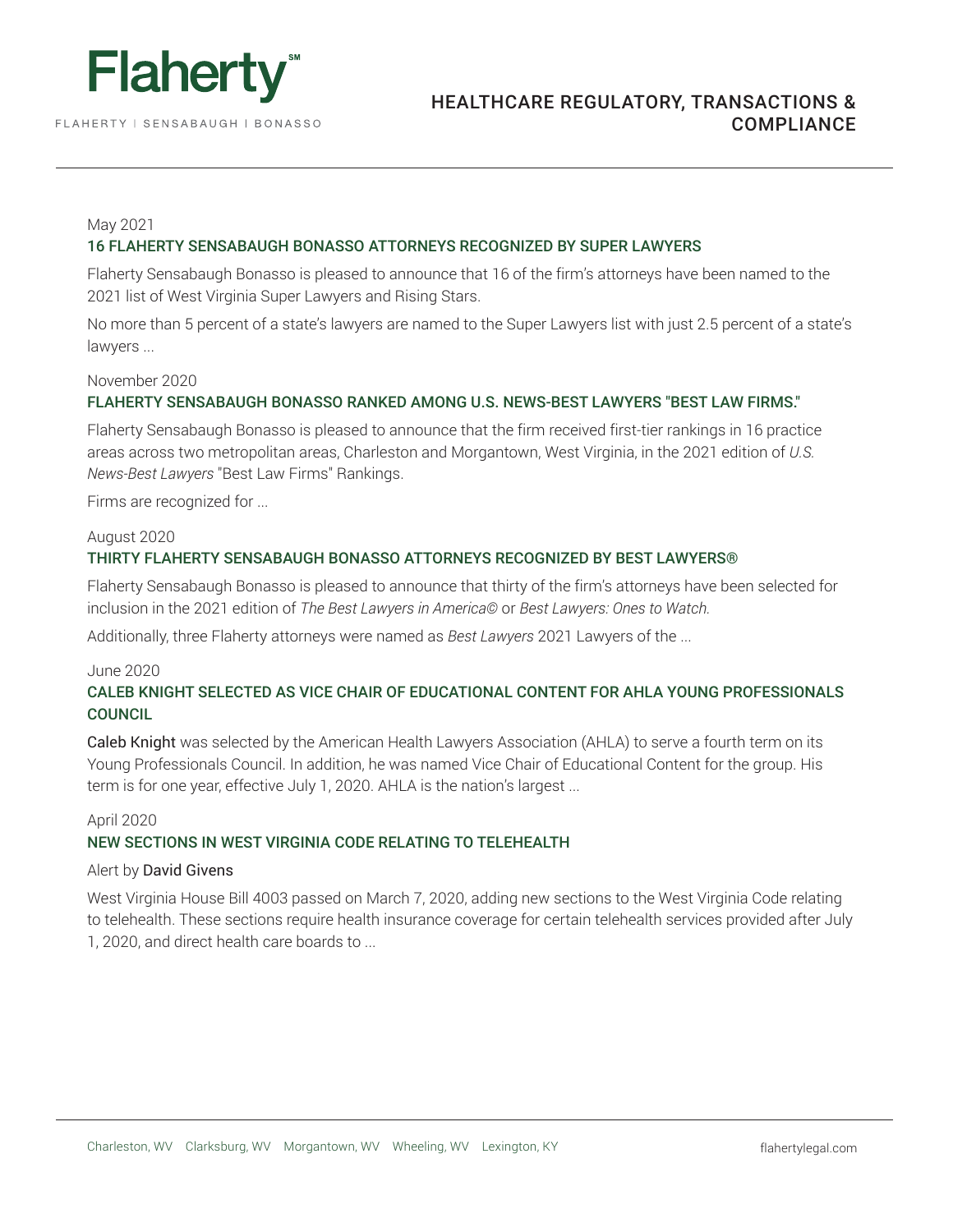

FLAHERTY | SENSABAUGH | BONASSO

## May 2021

## 16 FLAHERTY SENSABAUGH BONASSO ATTORNEYS RECOGNIZED BY SUPER LAWYERS

Flaherty Sensabaugh Bonasso is pleased to announce that 16 of the firm's attorneys have been named to the 2021 list of West Virginia Super Lawyers and Rising Stars.

No more than 5 percent of a state's lawyers are named to the Super Lawyers list with just 2.5 percent of a state's lawyers ...

# November 2020

# FLAHERTY SENSABAUGH BONASSO RANKED AMONG U.S. NEWS-BEST LAWYERS "BEST LAW FIRMS."

Flaherty Sensabaugh Bonasso is pleased to announce that the firm received first-tier rankings in 16 practice areas across two metropolitan areas, Charleston and Morgantown, West Virginia, in the 2021 edition of *U.S. News-Best Lawyers* "Best Law Firms" Rankings.

Firms are recognized for ...

## August 2020

# THIRTY FLAHERTY SENSABAUGH BONASSO ATTORNEYS RECOGNIZED BY BEST LAWYERS®

Flaherty Sensabaugh Bonasso is pleased to announce that thirty of the firm's attorneys have been selected for inclusion in the 2021 edition of *The Best Lawyers in America©* or *Best Lawyers: Ones to Watch.*

Additionally, three Flaherty attorneys were named as *Best Lawyers* 2021 Lawyers of the ...

#### June 2020

# CALEB KNIGHT SELECTED AS VICE CHAIR OF EDUCATIONAL CONTENT FOR AHLA YOUNG PROFESSIONALS **COUNCIL**

Caleb Knight was selected by the American Health Lawyers Association (AHLA) to serve a fourth term on its Young Professionals Council. In addition, he was named Vice Chair of Educational Content for the group. His term is for one year, effective July 1, 2020. AHLA is the nation's largest ...

#### April 2020

## NEW SECTIONS IN WEST VIRGINIA CODE RELATING TO TELEHEALTH

#### Alert by David Givens

West Virginia House Bill 4003 passed on March 7, 2020, adding new sections to the West Virginia Code relating to telehealth. These sections require health insurance coverage for certain telehealth services provided after July 1, 2020, and direct health care boards to ...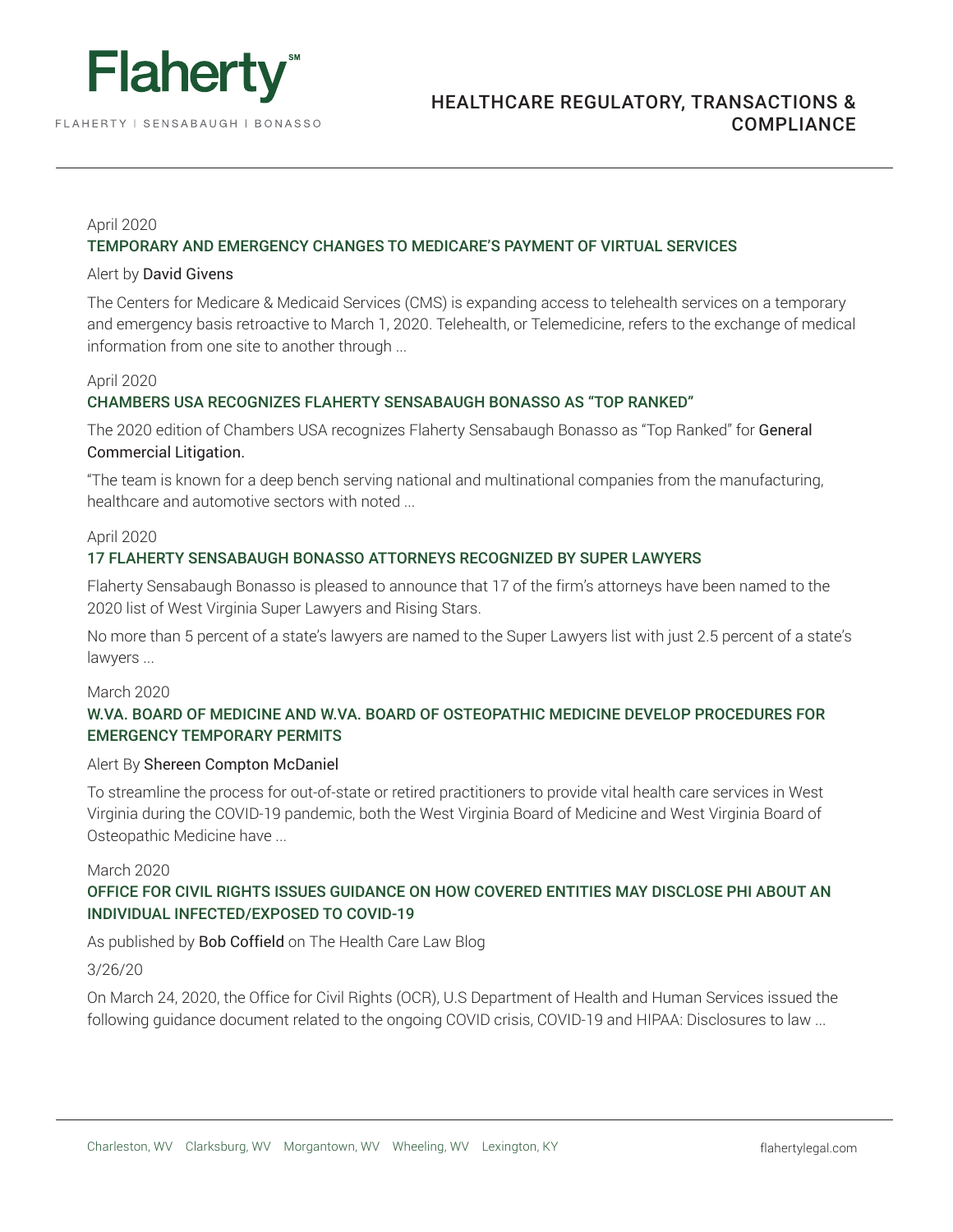

HEALTHCARE REGULATORY, TRANSACTIONS & COMPLIANCE

# April 2020

# TEMPORARY AND EMERGENCY CHANGES TO MEDICARE'S PAYMENT OF VIRTUAL SERVICES

#### Alert by David Givens

The Centers for Medicare & Medicaid Services (CMS) is expanding access to telehealth services on a temporary and emergency basis retroactive to March 1, 2020. Telehealth, or Telemedicine, refers to the exchange of medical information from one site to another through ...

# April 2020

# CHAMBERS USA RECOGNIZES FLAHERTY SENSABAUGH BONASSO AS "TOP RANKED"

The 2020 edition of Chambers USA recognizes Flaherty Sensabaugh Bonasso as "Top Ranked" for General Commercial Litigation.

"The team is known for a deep bench serving national and multinational companies from the manufacturing, healthcare and automotive sectors with noted ...

## April 2020

# 17 FLAHERTY SENSABAUGH BONASSO ATTORNEYS RECOGNIZED BY SUPER LAWYERS

Flaherty Sensabaugh Bonasso is pleased to announce that 17 of the firm's attorneys have been named to the 2020 list of West Virginia Super Lawyers and Rising Stars.

No more than 5 percent of a state's lawyers are named to the Super Lawyers list with just 2.5 percent of a state's lawyers ...

# March 2020

# W.VA. BOARD OF MEDICINE AND W.VA. BOARD OF OSTEOPATHIC MEDICINE DEVELOP PROCEDURES FOR EMERGENCY TEMPORARY PERMITS

#### Alert By Shereen Compton McDaniel

To streamline the process for out-of-state or retired practitioners to provide vital health care services in West Virginia during the COVID-19 pandemic, both the West Virginia Board of Medicine and West Virginia Board of Osteopathic Medicine have ...

## March 2020

# OFFICE FOR CIVIL RIGHTS ISSUES GUIDANCE ON HOW COVERED ENTITIES MAY DISCLOSE PHI ABOUT AN INDIVIDUAL INFECTED/EXPOSED TO COVID-19

As published by Bob Coffield on The Health Care Law Blog

## 3/26/20

On March 24, 2020, the Office for Civil Rights (OCR), U.S Department of Health and Human Services issued the following guidance document related to the ongoing COVID crisis, COVID-19 and HIPAA: Disclosures to law ...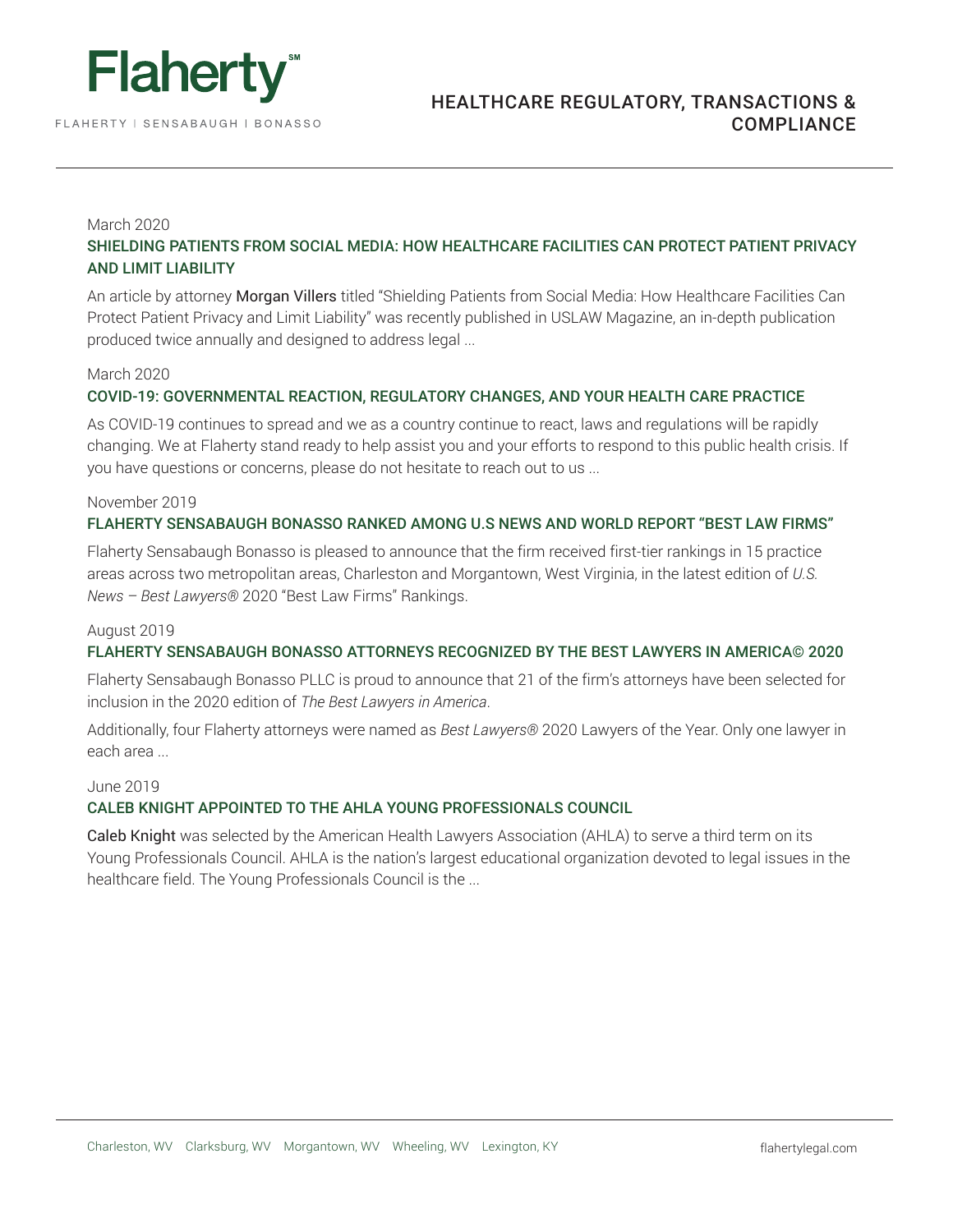

# March 2020

# SHIELDING PATIENTS FROM SOCIAL MEDIA: HOW HEALTHCARE FACILITIES CAN PROTECT PATIENT PRIVACY AND LIMIT LIABILITY

An article by attorney Morgan Villers titled "Shielding Patients from Social Media: How Healthcare Facilities Can Protect Patient Privacy and Limit Liability" was recently published in USLAW Magazine, an in-depth publication produced twice annually and designed to address legal ...

## March 2020

# COVID-19: GOVERNMENTAL REACTION, REGULATORY CHANGES, AND YOUR HEALTH CARE PRACTICE

As COVID-19 continues to spread and we as a country continue to react, laws and regulations will be rapidly changing. We at Flaherty stand ready to help assist you and your efforts to respond to this public health crisis. If you have questions or concerns, please do not hesitate to reach out to us ...

## November 2019

# FLAHERTY SENSABAUGH BONASSO RANKED AMONG U.S NEWS AND WORLD REPORT "BEST LAW FIRMS"

Flaherty Sensabaugh Bonasso is pleased to announce that the firm received first-tier rankings in 15 practice areas across two metropolitan areas, Charleston and Morgantown, West Virginia, in the latest edition of *U.S. News – Best Lawyers®* 2020 "Best Law Firms" Rankings.

## August 2019

# FLAHERTY SENSABAUGH BONASSO ATTORNEYS RECOGNIZED BY THE BEST LAWYERS IN AMERICA© 2020

Flaherty Sensabaugh Bonasso PLLC is proud to announce that 21 of the firm's attorneys have been selected for inclusion in the 2020 edition of *The Best Lawyers in America*.

Additionally, four Flaherty attorneys were named as *Best Lawyers®* 2020 Lawyers of the Year. Only one lawyer in each area ...

# June 2019

# CALEB KNIGHT APPOINTED TO THE AHLA YOUNG PROFESSIONALS COUNCIL

Caleb Knight was selected by the American Health Lawyers Association (AHLA) to serve a third term on its Young Professionals Council. AHLA is the nation's largest educational organization devoted to legal issues in the healthcare field. The Young Professionals Council is the ...